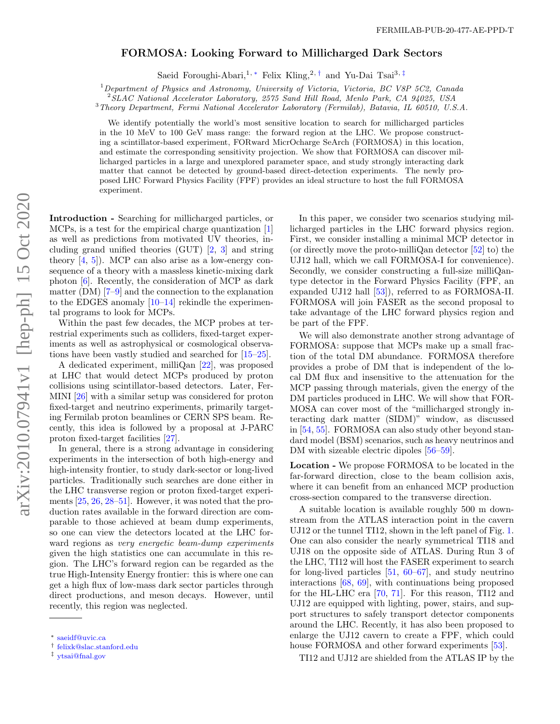## FORMOSA: Looking Forward to Millicharged Dark Sectors

Saeid Foroughi-Abari,<sup>1, [∗](#page-0-0)</sup> Felix Kling,<sup>2,[†](#page-0-1)</sup> and Yu-Dai Tsai<sup>3,[‡](#page-0-2)</sup>

<sup>1</sup>Department of Physics and Astronomy, University of Victoria, Victoria, BC V8P 5C2, Canada

<sup>2</sup>SLAC National Accelerator Laboratory, 2575 Sand Hill Road, Menlo Park, CA 94025, USA

<sup>3</sup>Theory Department, Fermi National Accelerator Laboratory (Fermilab), Batavia, IL 60510, U.S.A.

We identify potentially the world's most sensitive location to search for millicharged particles in the 10 MeV to 100 GeV mass range: the forward region at the LHC. We propose constructing a scintillator-based experiment, FORward MicrOcharge SeArch (FORMOSA) in this location, and estimate the corresponding sensitivity projection. We show that FORMOSA can discover millicharged particles in a large and unexplored parameter space, and study strongly interacting dark matter that cannot be detected by ground-based direct-detection experiments. The newly proposed LHC Forward Physics Facility (FPF) provides an ideal structure to host the full FORMOSA experiment.

Introduction - Searching for millicharged particles, or MCPs, is a test for the empirical charge quantization [\[1\]](#page-5-0) as well as predictions from motivated UV theories, including grand unified theories (GUT) [\[2,](#page-5-1) [3\]](#page-5-2) and string theory  $[4, 5]$  $[4, 5]$  $[4, 5]$ . MCP can also arise as a low-energy consequence of a theory with a massless kinetic-mixing dark photon [\[6\]](#page-5-5). Recently, the consideration of MCP as dark matter (DM) [\[7–](#page-5-6)[9\]](#page-5-7) and the connection to the explanation to the EDGES anomaly  $[10-14]$  $[10-14]$  rekindle the experimental programs to look for MCPs.

Within the past few decades, the MCP probes at terrestrial experiments such as colliders, fixed-target experiments as well as astrophysical or cosmological observations have been vastly studied and searched for [\[15–](#page-5-10)[25\]](#page-6-0).

A dedicated experiment, milliQan [\[22\]](#page-6-1), was proposed at LHC that would detect MCPs produced by proton collisions using scintillator-based detectors. Later, Fer-MINI [\[26\]](#page-6-2) with a similar setup was considered for proton fixed-target and neutrino experiments, primarily targeting Fermilab proton beamlines or CERN SPS beam. Recently, this idea is followed by a proposal at J-PARC proton fixed-target facilities [\[27\]](#page-6-3).

In general, there is a strong advantage in considering experiments in the intersection of both high-energy and high-intensity frontier, to study dark-sector or long-lived particles. Traditionally such searches are done either in the LHC transverse region or proton fixed-target experiments [\[25,](#page-6-0) [26,](#page-6-2) [28–](#page-6-4)[51\]](#page-7-0). However, it was noted that the production rates available in the forward direction are comparable to those achieved at beam dump experiments, so one can view the detectors located at the LHC forward regions as very energetic beam-dump experiments given the high statistics one can accumulate in this region. The LHC's forward region can be regarded as the true High-Intensity Energy frontier: this is where one can get a high flux of low-mass dark sector particles through direct productions, and meson decays. However, until recently, this region was neglected.

In this paper, we consider two scenarios studying millicharged particles in the LHC forward physics region. First, we consider installing a minimal MCP detector in (or directly move the proto-milliQan detector [\[52\]](#page-7-1) to) the UJ12 hall, which we call FORMOSA-I for convenience). Secondly, we consider constructing a full-size milliQantype detector in the Forward Physics Facility (FPF, an expanded UJ12 hall [\[53\]](#page-7-2)), referred to as FORMOSA-II. FORMOSA will join FASER as the second proposal to take advantage of the LHC forward physics region and be part of the FPF.

We will also demonstrate another strong advantage of FORMOSA: suppose that MCPs make up a small fraction of the total DM abundance. FORMOSA therefore provides a probe of DM that is independent of the local DM flux and insensitive to the attenuation for the MCP passing through materials, given the energy of the DM particles produced in LHC. We will show that FOR-MOSA can cover most of the "millicharged strongly interacting dark matter (SIDM)" window, as discussed in [\[54,](#page-7-3) [55\]](#page-7-4). FORMOSA can also study other beyond standard model (BSM) scenarios, such as heavy neutrinos and DM with sizeable electric dipoles  $[56-59]$  $[56-59]$ .

Location - We propose FORMOSA to be located in the far-forward direction, close to the beam collision axis, where it can benefit from an enhanced MCP production cross-section compared to the transverse direction.

A suitable location is available roughly 500 m downstream from the ATLAS interaction point in the cavern UJ12 or the tunnel TI12, shown in the left panel of Fig. [1.](#page-2-0) One can also consider the nearly symmetrical TI18 and UJ18 on the opposite side of ATLAS. During Run 3 of the LHC, TI12 will host the FASER experiment to search for long-lived particles [\[51,](#page-7-0) [60–](#page-7-7)[67\]](#page-7-8), and study neutrino interactions [\[68,](#page-7-9) [69\]](#page-7-10), with continuations being proposed for the HL-LHC era [\[70,](#page-7-11) [71\]](#page-7-12). For this reason, TI12 and UJ12 are equipped with lighting, power, stairs, and support structures to safely transport detector components around the LHC. Recently, it has also been proposed to enlarge the UJ12 cavern to create a FPF, which could house FORMOSA and other forward experiments [\[53\]](#page-7-2).

TI12 and UJ12 are shielded from the ATLAS IP by the

<span id="page-0-0"></span><sup>∗</sup> [saeidf@uvic.ca](mailto:saeidf@uvic.ca)

<span id="page-0-1"></span><sup>†</sup> [felixk@slac.stanford.edu](mailto:felixk@slac.stanford.edu)

<span id="page-0-2"></span><sup>‡</sup> [ytsai@fnal.gov](mailto:ytsai@fnal.gov)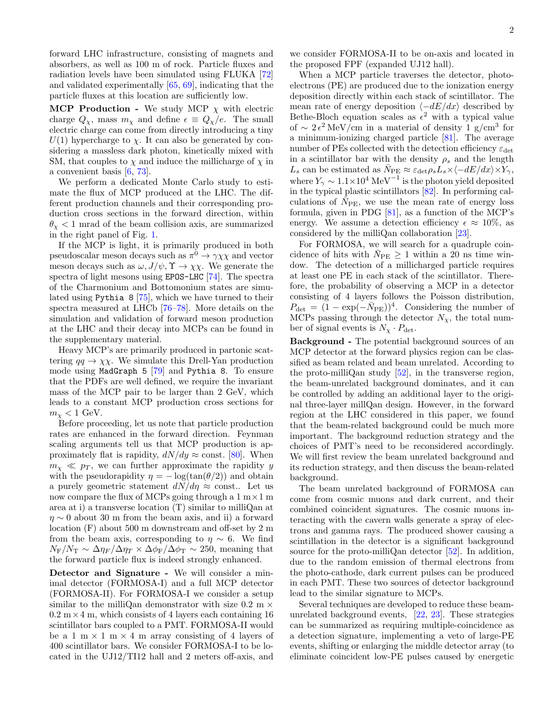forward LHC infrastructure, consisting of magnets and absorbers, as well as 100 m of rock. Particle fluxes and radiation levels have been simulated using FLUKA [\[72\]](#page-7-13) and validated experimentally [\[65,](#page-7-14) [69\]](#page-7-10), indicating that the particle fluxes at this location are sufficiently low.

MCP Production - We study MCP  $\chi$  with electric charge  $Q_{\chi}$ , mass  $m_{\chi}$  and define  $\epsilon \equiv Q_{\chi}/e$ . The small electric charge can come from directly introducing a tiny  $U(1)$  hypercharge to  $\chi$ . It can also be generated by considering a massless dark photon, kinetically mixed with SM, that couples to  $\chi$  and induce the millicharge of  $\chi$  in a convenient basis [\[6,](#page-5-5) [73\]](#page-7-15).

We perform a dedicated Monte Carlo study to estimate the flux of MCP produced at the LHC. The different production channels and their corresponding production cross sections in the forward direction, within  $\theta_{\chi}$  < 1 mrad of the beam collision axis, are summarized in the right panel of Fig. [1.](#page-2-0)

If the MCP is light, it is primarily produced in both pseudoscalar meson decays such as  $\pi^0 \to \gamma \chi \chi$  and vector meson decays such as  $\omega$ ,  $J/\psi$ ,  $\Upsilon \to \chi \chi$ . We generate the spectra of light mesons using EPOS-LHC [\[74\]](#page-7-16). The spectra of the Charmonium and Bottomonium states are simulated using Pythia 8 [\[75\]](#page-7-17), which we have turned to their spectra measured at LHCb [\[76](#page-7-18)[–78\]](#page-7-19). More details on the simulation and validation of forward meson production at the LHC and their decay into MCPs can be found in the supplementary material.

Heavy MCP's are primarily produced in partonic scattering  $qq \to \chi \chi$ . We simulate this Drell-Yan production mode using MadGraph 5 [\[79\]](#page-7-20) and Pythia 8. To ensure that the PDFs are well defined, we require the invariant mass of the MCP pair to be larger than 2 GeV, which leads to a constant MCP production cross sections for  $m_{\chi} < 1$  GeV.

Before proceeding, let us note that particle production rates are enhanced in the forward direction. Feynman scaling arguments tell us that MCP production is approximately flat is rapidity,  $dN/dy \approx \text{const.}$  [\[80\]](#page-7-21). When  $m_{\chi} \ll p_T$ , we can further approximate the rapidity y with the pseudorapidity  $\eta = -\log(\tan(\theta/2))$  and obtain a purely geometric statement  $dN/d\eta \approx$  const.. Let us now compare the flux of MCPs going through a  $1 \text{ m} \times 1 \text{ m}$ area at i) a transverse location (T) similar to milliQan at  $\eta \sim 0$  about 30 m from the beam axis, and ii) a forward location (F) about 500 m downstream and off-set by 2 m from the beam axis, corresponding to  $\eta \sim 6$ . We find  $N_{\rm F}/N_{\rm T} \sim \Delta \eta_F/\Delta \eta_T \times \Delta \phi_{\rm F}/\Delta \phi_{\rm T} \sim 250$ , meaning that the forward particle flux is indeed strongly enhanced.

Detector and Signature - We will consider a minimal detector (FORMOSA-I) and a full MCP detector (FORMOSA-II). For FORMOSA-I we consider a setup similar to the milliQan demonstrator with size  $0.2 \text{ m} \times$  $0.2 \text{ m} \times 4 \text{ m}$ , which consists of 4 layers each containing 16 scintillator bars coupled to a PMT. FORMOSA-II would be a 1 m  $\times$  1 m  $\times$  4 m array consisting of 4 layers of 400 scintillator bars. We consider FORMOSA-I to be located in the UJ12/TI12 hall and 2 meters off-axis, and

we consider FORMOSA-II to be on-axis and located in the proposed FPF (expanded UJ12 hall).

When a MCP particle traverses the detector, photoelectrons (PE) are produced due to the ionization energy deposition directly within each stack of scintillator. The mean rate of energy deposition  $\langle -dE/dx \rangle$  described by Bethe-Bloch equation scales as  $\epsilon^2$  with a typical value of  $\sim 2\epsilon^2$  MeV/cm in a material of density 1 g/cm<sup>3</sup> for a minimum-ionizing charged particle [\[81\]](#page-7-22). The average number of PEs collected with the detection efficiency  $\varepsilon_{\text{det}}$ in a scintillator bar with the density  $\rho_s$  and the length  $L_s$  can be estimated as  $\bar{N}_{\text{PE}} \approx \varepsilon_{\text{det}} \rho_s L_s \times \langle -dE/dx \rangle \times Y_{\gamma}$ , where  $Y_\gamma \sim 1.1 \times 10^4 \text{ MeV}^{-1}$  is the photon yield deposited in the typical plastic scintillators [\[82\]](#page-8-0). In performing calculations of  $\bar{N}_{\text{PE}}$ , we use the mean rate of energy loss formula, given in PDG [\[81\]](#page-7-22), as a function of the MCP's energy. We assume a detection efficiency  $\epsilon \approx 10\%$ , as considered by the milliQan collaboration [\[23\]](#page-6-5).

For FORMOSA, we will search for a quadruple coincidence of hits with  $\bar{N}_{\text{PE}} \geq 1$  within a 20 ns time window. The detection of a millicharged particle requires at least one PE in each stack of the scintillator. Therefore, the probability of observing a MCP in a detector consisting of 4 layers follows the Poisson distribution,  $P_{\text{det}} = (1 - \exp(-\bar{N}_{\text{PE}}))^4$ . Considering the number of MCPs passing through the detector  $N_{\chi}$ , the total number of signal events is  $N_{\chi} \cdot P_{\text{det}}$ .

Background - The potential background sources of an MCP detector at the forward physics region can be classified as beam related and beam unrelated. According to the proto-milliQan study  $[52]$ , in the transverse region, the beam-unrelated background dominates, and it can be controlled by adding an additional layer to the original three-layer millQan design. However, in the forward region at the LHC considered in this paper, we found that the beam-related background could be much more important. The background reduction strategy and the choices of PMT's need to be reconsidered accordingly. We will first review the beam unrelated background and its reduction strategy, and then discuss the beam-related background.

The beam unrelated background of FORMOSA can come from cosmic muons and dark current, and their combined coincident signatures. The cosmic muons interacting with the cavern walls generate a spray of electrons and gamma rays. The produced shower causing a scintillation in the detector is a significant background source for the proto-milliQan detector [\[52\]](#page-7-1). In addition, due to the random emission of thermal electrons from the photo-cathode, dark current pulses can be produced in each PMT. These two sources of detector background lead to the similar signature to MCPs.

Several techniques are developed to reduce these beamunrelated background events, [\[22,](#page-6-1) [23\]](#page-6-5). These strategies can be summarized as requiring multiple-coincidence as a detection signature, implementing a veto of large-PE events, shifting or enlarging the middle detector array (to eliminate coincident low-PE pulses caused by energetic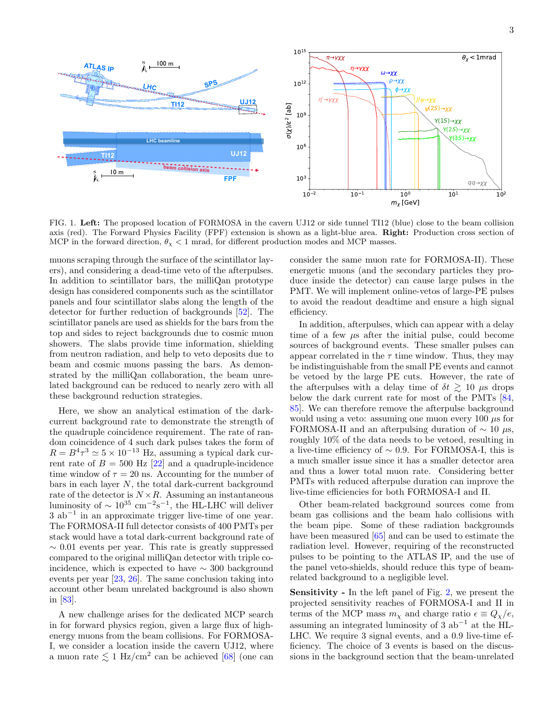

<span id="page-2-0"></span>FIG. 1. Left: The proposed location of FORMOSA in the cavern UJ12 or side tunnel TI12 (blue) close to the beam collision axis (red). The Forward Physics Facility (FPF) extension is shown as a light-blue area. Right: Production cross section of MCP in the forward direction,  $\theta_{\chi} < 1$  mrad, for different production modes and MCP masses.

muons scraping through the surface of the scintillator layers), and considering a dead-time veto of the afterpulses. In addition to scintillator bars, the milliQan prototype design has considered components such as the scintillator panels and four scintillator slabs along the length of the detector for further reduction of backgrounds [\[52\]](#page-7-1). The scintillator panels are used as shields for the bars from the top and sides to reject backgrounds due to cosmic muon showers. The slabs provide time information, shielding from neutron radiation, and help to veto deposits due to beam and cosmic muons passing the bars. As demonstrated by the milliQan collaboration, the beam unrelated background can be reduced to nearly zero with all these background reduction strategies.

Here, we show an analytical estimation of the darkcurrent background rate to demonstrate the strength of the quadruple coincidence requirement. The rate of random coincidence of 4 such dark pulses takes the form of  $R = B<sup>4</sup> \tau<sup>3</sup> \approx 5 \times 10<sup>-13</sup>$  Hz, assuming a typical dark current rate of  $B = 500$  Hz [\[22\]](#page-6-1) and a quadruple-incidence time window of  $\tau = 20$  ns. Accounting for the number of bars in each layer  $N$ , the total dark-current background rate of the detector is  $N \times R$ . Assuming an instantaneous luminosity of  $\sim 10^{35}$  cm<sup>-2</sup>s<sup>-1</sup>, the HL-LHC will deliver 3 ab<sup>−</sup><sup>1</sup> in an approximate trigger live-time of one year. The FORMOSA-II full detector consists of 400 PMTs per stack would have a total dark-current background rate of  $\sim 0.01$  events per year. This rate is greatly suppressed compared to the original milliQan detector with triple coincidence, which is expected to have  $\sim$  300 background events per year [\[23,](#page-6-5) [26\]](#page-6-2). The same conclusion taking into account other beam unrelated background is also shown in [\[83\]](#page-8-1).

A new challenge arises for the dedicated MCP search in for forward physics region, given a large flux of highenergy muons from the beam collisions. For FORMOSA-I, we consider a location inside the cavern UJ12, where a muon rate  $\lesssim 1 \text{ Hz/cm}^2$  can be achieved [\[68\]](#page-7-9) (one can

consider the same muon rate for FORMOSA-II). These energetic muons (and the secondary particles they produce inside the detector) can cause large pulses in the PMT. We will implement online-vetos of large-PE pulses to avoid the readout deadtime and ensure a high signal efficiency.

In addition, afterpulses, which can appear with a delay time of a few  $\mu$ s after the initial pulse, could become sources of background events. These smaller pulses can appear correlated in the  $\tau$  time window. Thus, they may be indistinguishable from the small PE events and cannot be vetoed by the large PE cuts. However, the rate of the afterpulses with a delay time of  $\delta t \gtrsim 10 \mu s$  drops below the dark current rate for most of the PMTs [\[84,](#page-8-2) [85\]](#page-8-3). We can therefore remove the afterpulse background would using a veto: assuming one muon every 100  $\mu$ s for FORMOSA-II and an afterpulsing duration of  $\sim 10 \mu s$ , roughly 10% of the data needs to be vetoed, resulting in a live-time efficiency of  $\sim 0.9$ . For FORMOSA-I, this is a much smaller issue since it has a smaller detector area and thus a lower total muon rate. Considering better PMTs with reduced afterpulse duration can improve the live-time efficiencies for both FORMOSA-I and II.

Other beam-related background sources come from beam gas collisions and the beam halo collisions with the beam pipe. Some of these radiation backgrounds have been measured [\[65\]](#page-7-14) and can be used to estimate the radiation level. However, requiring of the reconstructed pulses to be pointing to the ATLAS IP, and the use of the panel veto-shields, should reduce this type of beamrelated background to a negligible level.

Sensitivity - In the left panel of Fig. [2,](#page-3-0) we present the projected sensitivity reaches of FORMOSA-I and II in terms of the MCP mass  $m_{\chi}$  and charge ratio  $\epsilon \equiv Q_{\chi}/e$ , assuming an integrated luminosity of 3  $ab^{-1}$  at the HL-LHC. We require 3 signal events, and a 0.9 live-time efficiency. The choice of 3 events is based on the discussions in the background section that the beam-unrelated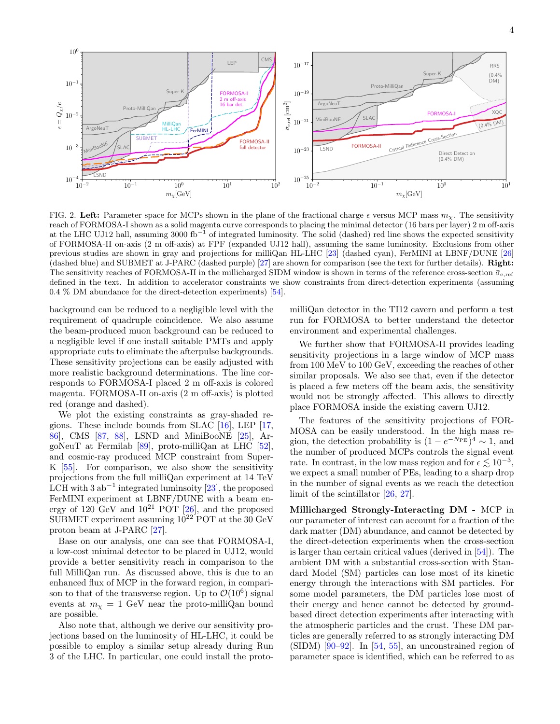

<span id="page-3-0"></span>FIG. 2. Left: Parameter space for MCPs shown in the plane of the fractional charge  $\epsilon$  versus MCP mass  $m<sub>x</sub>$ . The sensitivity reach of FORMOSA-I shown as a solid magenta curve corresponds to placing the minimal detector (16 bars per layer) 2 m off-axis at the LHC UJ12 hall, assuming 3000 fb<sup>-1</sup> of integrated luminosity. The solid (dashed) red line shows the expected sensitivity of FORMOSA-II on-axis (2 m off-axis) at FPF (expanded UJ12 hall), assuming the same luminosity. Exclusions from other previous studies are shown in gray and projections for milliQan HL-LHC [\[23\]](#page-6-5) (dashed cyan), FerMINI at LBNF/DUNE [\[26\]](#page-6-2) (dashed blue) and SUBMET at J-PARC (dashed purple) [\[27\]](#page-6-3) are shown for comparison (see the text for further details). Right: The sensitivity reaches of FORMOSA-II in the millicharged SIDM window is shown in terms of the reference cross-section  $\bar{\sigma}_{e,ref}$ defined in the text. In addition to accelerator constraints we show constraints from direct-detection experiments (assuming 0.4 % DM abundance for the direct-detection experiments) [\[54\]](#page-7-3).

background can be reduced to a negligible level with the requirement of quadruple coincidence. We also assume the beam-produced muon background can be reduced to a negligible level if one install suitable PMTs and apply appropriate cuts to eliminate the afterpulse backgrounds. These sensitivity projections can be easily adjusted with more realistic background determinations. The line corresponds to FORMOSA-I placed 2 m off-axis is colored magenta. FORMOSA-II on-axis (2 m off-axis) is plotted red (orange and dashed).

We plot the existing constraints as gray-shaded regions. These include bounds from SLAC [\[16\]](#page-5-11), LEP [\[17,](#page-6-6) [86\]](#page-8-4), CMS [\[87,](#page-8-5) [88\]](#page-8-6), LSND and MiniBooNE [\[25\]](#page-6-0), ArgoNeuT at Fermilab [\[89\]](#page-8-7), proto-milliQan at LHC [\[52\]](#page-7-1), and cosmic-ray produced MCP constraint from Super-K [\[55\]](#page-7-4). For comparison, we also show the sensitivity projections from the full milliQan experiment at 14 TeV LCH with 3  $ab^{-1}$  integrated luminsoity [\[23\]](#page-6-5), the proposed FerMINI experiment at LBNF/DUNE with a beam energy of 120 GeV and  $10^{21}$  POT [\[26\]](#page-6-2), and the proposed SUBMET experiment assuming  $10^{22}$  POT at the 30 GeV proton beam at J-PARC [\[27\]](#page-6-3).

Base on our analysis, one can see that FORMOSA-I, a low-cost minimal detector to be placed in UJ12, would provide a better sensitivity reach in comparison to the full MilliQan run. As discussed above, this is due to an enhanced flux of MCP in the forward region, in comparison to that of the transverse region. Up to  $\mathcal{O}(10^6)$  signal events at  $m<sub>x</sub> = 1$  GeV near the proto-milliQan bound are possible.

Also note that, although we derive our sensitivity projections based on the luminosity of HL-LHC, it could be possible to employ a similar setup already during Run 3 of the LHC. In particular, one could install the protomilliQan detector in the TI12 cavern and perform a test run for FORMOSA to better understand the detector environment and experimental challenges.

We further show that FORMOSA-II provides leading sensitivity projections in a large window of MCP mass from 100 MeV to 100 GeV, exceeding the reaches of other similar proposals. We also see that, even if the detector is placed a few meters off the beam axis, the sensitivity would not be strongly affected. This allows to directly place FORMOSA inside the existing cavern UJ12.

The features of the sensitivity projections of FOR-MOSA can be easily understood. In the high mass region, the detection probability is  $(1 - e^{-N_{\text{PE}}})^4 \sim 1$ , and the number of produced MCPs controls the signal event rate. In contrast, in the low mass region and for  $\epsilon \lesssim 10^{-3}$ , we expect a small number of PEs, leading to a sharp drop in the number of signal events as we reach the detection limit of the scintillator [\[26,](#page-6-2) [27\]](#page-6-3).

Millicharged Strongly-Interacting DM - MCP in our parameter of interest can account for a fraction of the dark matter (DM) abundance, and cannot be detected by the direct-detection experiments when the cross-section is larger than certain critical values (derived in [\[54\]](#page-7-3)). The ambient DM with a substantial cross-section with Standard Model (SM) particles can lose most of its kinetic energy through the interactions with SM particles. For some model parameters, the DM particles lose most of their energy and hence cannot be detected by groundbased direct detection experiments after interacting with the atmospheric particles and the crust. These DM particles are generally referred to as strongly interacting DM  $(SIDM)$  [\[90](#page-8-8)[–92\]](#page-8-9). In [\[54,](#page-7-3) [55\]](#page-7-4), an unconstrained region of parameter space is identified, which can be referred to as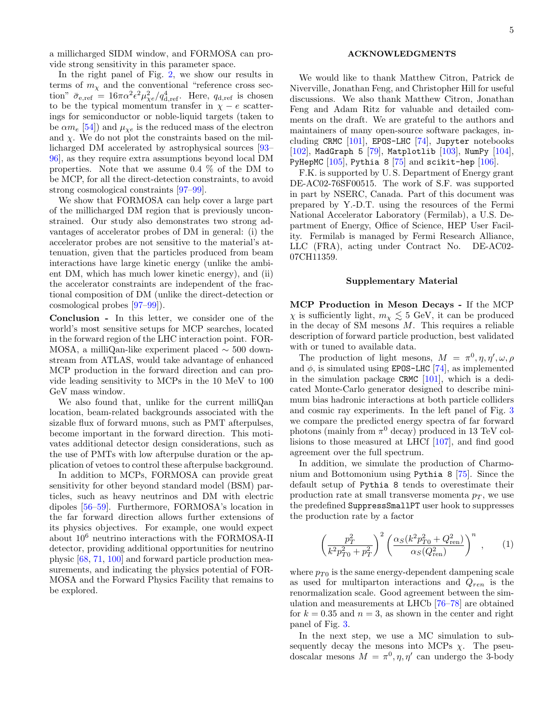a millicharged SIDM window, and FORMOSA can provide strong sensitivity in this parameter space.

In the right panel of Fig. [2,](#page-3-0) we show our results in terms of  $m<sub>x</sub>$  and the conventional "reference cross section"  $\bar{\sigma}_{e,ref} = 16\pi\alpha^2 \epsilon^2 \mu_{\chi e}^2/q_{d,ref}^4$ . Here,  $q_{d,ref}$  is chosen to be the typical momentum transfer in  $\chi - e$  scatterings for semiconductor or noble-liquid targets (taken to be  $\alpha m_e$  [\[54\]](#page-7-3)) and  $\mu_{\chi e}$  is the reduced mass of the electron and  $\chi$ . We do not plot the constraints based on the millicharged DM accelerated by astrophysical sources [\[93–](#page-8-10) [96\]](#page-8-11), as they require extra assumptions beyond local DM properties. Note that we assume 0.4 % of the DM to be MCP, for all the direct-detection constraints, to avoid strong cosmological constraints [\[97–](#page-8-12)[99\]](#page-8-13).

We show that FORMOSA can help cover a large part of the millicharged DM region that is previously unconstrained. Our study also demonstrates two strong advantages of accelerator probes of DM in general: (i) the accelerator probes are not sensitive to the material's attenuation, given that the particles produced from beam interactions have large kinetic energy (unlike the ambient DM, which has much lower kinetic energy), and (ii) the accelerator constraints are independent of the fractional composition of DM (unlike the direct-detection or cosmological probes [\[97](#page-8-12)[–99\]](#page-8-13)).

Conclusion - In this letter, we consider one of the world's most sensitive setups for MCP searches, located in the forward region of the LHC interaction point. FOR-MOSA, a milliQan-like experiment placed ∼ 500 downstream from ATLAS, would take advantage of enhanced MCP production in the forward direction and can provide leading sensitivity to MCPs in the 10 MeV to 100 GeV mass window.

We also found that, unlike for the current milliQan location, beam-related backgrounds associated with the sizable flux of forward muons, such as PMT afterpulses, become important in the forward direction. This motivates additional detector design considerations, such as the use of PMTs with low afterpulse duration or the application of vetoes to control these afterpulse background.

In addition to MCPs, FORMOSA can provide great sensitivity for other beyond standard model (BSM) particles, such as heavy neutrinos and DM with electric dipoles [\[56](#page-7-5)[–59\]](#page-7-6). Furthermore, FORMOSA's location in the far forward direction allows further extensions of its physics objectives. For example, one would expect about 10<sup>6</sup> neutrino interactions with the FORMOSA-II detector, providing additional opportunities for neutrino physic [\[68,](#page-7-9) [71,](#page-7-12) [100\]](#page-8-14) and forward particle production measurements, and indicating the physics potential of FOR-MOSA and the Forward Physics Facility that remains to be explored.

## ACKNOWLEDGMENTS

We would like to thank Matthew Citron, Patrick de Niverville, Jonathan Feng, and Christopher Hill for useful discussions. We also thank Matthew Citron, Jonathan Feng and Adam Ritz for valuable and detailed comments on the draft. We are grateful to the authors and maintainers of many open-source software packages, including CRMC [\[101\]](#page-8-15), EPOS-LHC [\[74\]](#page-7-16), Jupyter notebooks  $[102]$ , MadGraph 5  $[79]$ , Matplotlib  $[103]$ , NumPy  $[104]$ , PyHepMC  $[105]$ , Pythia 8  $[75]$  and scikit-hep  $[106]$ .

F.K. is supported by U. S. Department of Energy grant DE-AC02-76SF00515. The work of S.F. was supported in part by NSERC, Canada. Part of this document was prepared by Y.-D.T. using the resources of the Fermi National Accelerator Laboratory (Fermilab), a U.S. Department of Energy, Office of Science, HEP User Facility. Fermilab is managed by Fermi Research Alliance, LLC (FRA), acting under Contract No. DE-AC02- 07CH11359.

## Supplementary Material

MCP Production in Meson Decays - If the MCP  $\chi$  is sufficiently light,  $m_{\chi} \lesssim 5$  GeV, it can be produced in the decay of SM mesons  $M$ . This requires a reliable description of forward particle production, best validated with or tuned to available data.

The production of light mesons,  $M = \pi^0, \eta, \eta', \omega, \rho$ and  $\phi$ , is simulated using EPOS-LHC [\[74\]](#page-7-16), as implemented in the simulation package CRMC  $[101]$ , which is a dedicated Monte-Carlo generator designed to describe minimum bias hadronic interactions at both particle colliders and cosmic ray experiments. In the left panel of Fig. [3](#page-5-12) we compare the predicted energy spectra of far forward photons (mainly from  $\pi^0$  decay) produced in 13 TeV collisions to those measured at LHCf [\[107\]](#page-8-21), and find good agreement over the full spectrum.

In addition, we simulate the production of Charmonium and Bottomonium using Pythia 8 [\[75\]](#page-7-17). Since the default setup of Pythia 8 tends to overestimate their production rate at small transverse momenta  $p_T$ , we use the predefined SuppressSmallPT user hook to suppresses the production rate by a factor

$$
\left(\frac{p_T^2}{k^2 p_{T0}^2 + p_T^2}\right)^2 \left(\frac{\alpha_S (k^2 p_{T0}^2 + Q_{\text{ren}}^2)}{\alpha_S (Q_{\text{ren}}^2)}\right)^n ,\qquad(1)
$$

where  $p_{T0}$  is the same energy-dependent dampening scale as used for multiparton interactions and  $Q_{ren}$  is the renormalization scale. Good agreement between the simulation and measurements at LHCb [\[76–](#page-7-18)[78\]](#page-7-19) are obtained for  $k = 0.35$  and  $n = 3$ , as shown in the center and right panel of Fig. [3.](#page-5-12)

In the next step, we use a MC simulation to subsequently decay the mesons into MCPs  $\chi$ . The pseudoscalar mesons  $M = \pi^0, \eta, \eta'$  can undergo the 3-body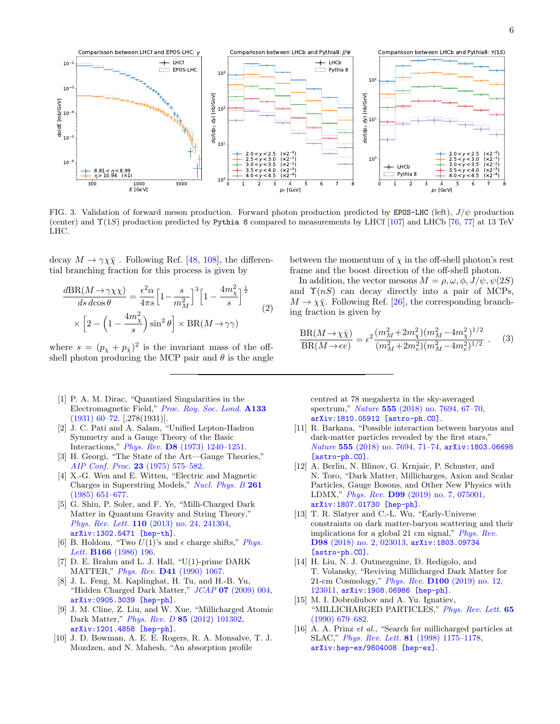

<span id="page-5-12"></span>FIG. 3. Validation of forward meson production. Forward photon production predicted by EPOS-LHC (left),  $J/\psi$  production (center) and  $\Upsilon(1S)$  production predicted by Pythia 8 compared to measurements by LHCf [\[107\]](#page-8-21) and LHCb [\[76,](#page-7-18) [77\]](#page-7-23) at 13 TeV LHC.

decay  $M \to \gamma \chi \bar{\chi}$ . Following Ref. [\[48,](#page-6-7) [108\]](#page-8-22), the differential branching fraction for this process is given by

$$
\frac{d\text{BR}(M \to \gamma \chi \chi)}{ds \, d\cos\theta} = \frac{\epsilon^2 \alpha}{4\pi s} \Big[ 1 - \frac{s}{m_M^2} \Big]^3 \Big[ 1 - \frac{4m_\chi^2}{s} \Big]^{\frac{1}{2}} \times \Big[ 2 - \Big( 1 - \frac{4m_\chi^2}{s} \Big) \sin^2\theta \Big] \times \text{BR}(M \to \gamma \gamma) \tag{2}
$$

where  $s = (p_{\chi} + p_{\bar{\chi}})^2$  is the invariant mass of the offshell photon producing the MCP pair and  $\theta$  is the angle

- <span id="page-5-0"></span>[1] P. A. M. Dirac, "Quantized Singularities in the Electromagnetic Field," [Proc. Roy. Soc. Lond.](http://dx.doi.org/10.1098/rspa.1931.0130) A133 [\(1931\) 60–72.](http://dx.doi.org/10.1098/rspa.1931.0130) [,278(1931)].
- <span id="page-5-1"></span>[2] J. C. Pati and A. Salam, "Unified Lepton-Hadron Symmetry and a Gauge Theory of the Basic Interactions," Phys. Rev. D8 [\(1973\) 1240–1251.](http://dx.doi.org/10.1103/PhysRevD.8.1240)
- <span id="page-5-2"></span>[3] H. Georgi, "The State of the Art—Gauge Theories," [AIP Conf. Proc.](http://dx.doi.org/10.1063/1.2947450) 23 (1975) 575–582.
- <span id="page-5-3"></span>[4] X.-G. Wen and E. Witten, "Electric and Magnetic Charges in Superstring Models," [Nucl. Phys. B](http://dx.doi.org/10.1016/0550-3213(85)90592-9) 261 [\(1985\) 651–677.](http://dx.doi.org/10.1016/0550-3213(85)90592-9)
- <span id="page-5-4"></span>[5] G. Shiu, P. Soler, and F. Ye, "Milli-Charged Dark Matter in Quantum Gravity and String Theory," Phys. Rev. Lett. 110 [\(2013\) no. 24, 241304,](http://dx.doi.org/10.1103/PhysRevLett.110.241304) [arXiv:1302.5471 \[hep-th\]](http://arxiv.org/abs/1302.5471).
- <span id="page-5-5"></span>[6] B. Holdom, "Two  $U(1)$ 's and  $\epsilon$  charge shifts," *[Phys.](http://dx.doi.org/10.1016/0370-2693(86)91377-8)* Lett. **B166** [\(1986\) 196.](http://dx.doi.org/10.1016/0370-2693(86)91377-8)
- <span id="page-5-6"></span>[7]  $D. E.$  Brahm and L. J. Hall, "U(1)-prime DARK MATTER," Phys. Rev. D41 [\(1990\) 1067.](http://dx.doi.org/10.1103/PhysRevD.41.1067)
- [8] J. L. Feng, M. Kaplinghat, H. Tu, and H.-B. Yu, "Hidden Charged Dark Matter,"  $JCAP$  07 [\(2009\) 004,](http://dx.doi.org/10.1088/1475-7516/2009/07/004) [arXiv:0905.3039 \[hep-ph\]](http://arxiv.org/abs/0905.3039).
- <span id="page-5-7"></span>[9] J. M. Cline, Z. Liu, and W. Xue, "Millicharged Atomic Dark Matter," Phys. Rev. D 85 [\(2012\) 101302,](http://dx.doi.org/10.1103/PhysRevD.85.101302) [arXiv:1201.4858 \[hep-ph\]](http://arxiv.org/abs/1201.4858).
- <span id="page-5-8"></span>[10] J. D. Bowman, A. E. E. Rogers, R. A. Monsalve, T. J. Mozdzen, and N. Mahesh, "An absorption profile

between the momentum of  $\chi$  in the off-shell photon's rest frame and the boost direction of the off-shell photon.

In addition, the vector mesons  $M = \rho, \omega, \phi, J/\psi, \psi(2S)$ and  $\Upsilon(nS)$  can decay directly into a pair of MCPs,  $M \to \chi \bar{\chi}$ . Following Ref. [\[26\]](#page-6-2), the corresponding branching fraction is given by

$$
\frac{\text{BR}(M \to \chi \bar{\chi})}{\text{BR}(M \to ee)} = \epsilon^2 \frac{(m_M^2 + 2m_\chi^2)(m_M^2 - 4m_\chi^2)^{1/2}}{(m_M^2 + 2m_e^2)(m_M^2 - 4m_e^2)^{1/2}}.
$$
 (3)

centred at 78 megahertz in the sky-averaged spectrum," Nature 555 [\(2018\) no. 7694, 67–70,](http://dx.doi.org/10.1038/nature25792) [arXiv:1810.05912 \[astro-ph.CO\]](http://arxiv.org/abs/1810.05912).

- [11] R. Barkana, "Possible interaction between baryons and dark-matter particles revealed by the first stars," Nature 555 [\(2018\) no. 7694, 71–74,](http://dx.doi.org/10.1038/nature25791) [arXiv:1803.06698](http://arxiv.org/abs/1803.06698) [\[astro-ph.CO\]](http://arxiv.org/abs/1803.06698).
- [12] A. Berlin, N. Blinov, G. Krnjaic, P. Schuster, and N. Toro, "Dark Matter, Millicharges, Axion and Scalar Particles, Gauge Bosons, and Other New Physics with LDMX," Phys. Rev. D99 [\(2019\) no. 7, 075001,](http://dx.doi.org/10.1103/PhysRevD.99.075001) [arXiv:1807.01730 \[hep-ph\]](http://arxiv.org/abs/1807.01730).
- [13] T. R. Slatyer and C.-L. Wu, "Early-Universe constraints on dark matter-baryon scattering and their implications for a global 21 cm signal," *[Phys. Rev.](http://dx.doi.org/10.1103/PhysRevD.98.023013)* D98 [\(2018\) no. 2, 023013,](http://dx.doi.org/10.1103/PhysRevD.98.023013) [arXiv:1803.09734](http://arxiv.org/abs/1803.09734) [\[astro-ph.CO\]](http://arxiv.org/abs/1803.09734).
- <span id="page-5-9"></span>[14] H. Liu, N. J. Outmezguine, D. Redigolo, and T. Volansky, "Reviving Millicharged Dark Matter for 21-cm Cosmology," Phys. Rev. D100 [\(2019\) no. 12,](http://dx.doi.org/10.1103/PhysRevD.100.123011) [123011,](http://dx.doi.org/10.1103/PhysRevD.100.123011) [arXiv:1908.06986 \[hep-ph\]](http://arxiv.org/abs/1908.06986).
- <span id="page-5-10"></span>[15] M. I. Dobroliubov and A. Yu. Ignatiev, "MILLICHARGED PARTICLES," [Phys. Rev. Lett.](http://dx.doi.org/10.1103/PhysRevLett.65.679) 65 [\(1990\) 679–682.](http://dx.doi.org/10.1103/PhysRevLett.65.679)
- <span id="page-5-11"></span>[16] A. A. Prinz et al., "Search for millicharged particles at SLAC," Phys. Rev. Lett. 81 [\(1998\) 1175–1178,](http://dx.doi.org/10.1103/PhysRevLett.81.1175) [arXiv:hep-ex/9804008 \[hep-ex\]](http://arxiv.org/abs/hep-ex/9804008).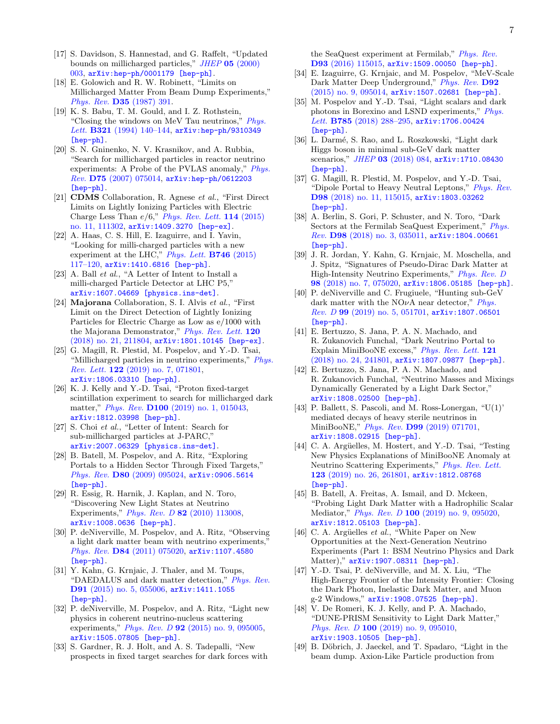- <span id="page-6-6"></span>[17] S. Davidson, S. Hannestad, and G. Raffelt, "Updated bounds on millicharged particles," JHEP 05 [\(2000\)](http://dx.doi.org/10.1088/1126-6708/2000/05/003) [003,](http://dx.doi.org/10.1088/1126-6708/2000/05/003) [arXiv:hep-ph/0001179 \[hep-ph\]](http://arxiv.org/abs/hep-ph/0001179).
- [18] E. Golowich and R. W. Robinett, "Limits on Millicharged Matter From Beam Dump Experiments," Phys. Rev. D35 [\(1987\) 391.](http://dx.doi.org/10.1103/PhysRevD.35.391)
- [19] K. S. Babu, T. M. Gould, and I. Z. Rothstein, "Closing the windows on MeV Tau neutrinos,"  $Phys.$ Lett. B321 (1994) 140-144, [arXiv:hep-ph/9310349](http://arxiv.org/abs/hep-ph/9310349) [\[hep-ph\]](http://arxiv.org/abs/hep-ph/9310349).
- [20] S. N. Gninenko, N. V. Krasnikov, and A. Rubbia, "Search for millicharged particles in reactor neutrino experiments: A Probe of the PVLAS anomaly," [Phys.](http://dx.doi.org/10.1103/PhysRevD.75.075014) Rev. D75 [\(2007\) 075014,](http://dx.doi.org/10.1103/PhysRevD.75.075014) [arXiv:hep-ph/0612203](http://arxiv.org/abs/hep-ph/0612203) [\[hep-ph\]](http://arxiv.org/abs/hep-ph/0612203).
- [21] CDMS Collaboration, R. Agnese et al., "First Direct Limits on Lightly Ionizing Particles with Electric Charge Less Than  $e/6$ ," [Phys. Rev. Lett.](http://dx.doi.org/10.1103/PhysRevLett.114.111302) 114 (2015) [no. 11, 111302,](http://dx.doi.org/10.1103/PhysRevLett.114.111302) [arXiv:1409.3270 \[hep-ex\]](http://arxiv.org/abs/1409.3270).
- <span id="page-6-1"></span>[22] A. Haas, C. S. Hill, E. Izaguirre, and I. Yavin, "Looking for milli-charged particles with a new experiment at the LHC," [Phys. Lett.](http://dx.doi.org/10.1016/j.physletb.2015.04.062)  $\bf{B746}$  (2015) [117–120,](http://dx.doi.org/10.1016/j.physletb.2015.04.062) [arXiv:1410.6816 \[hep-ph\]](http://arxiv.org/abs/1410.6816).
- <span id="page-6-5"></span>[23] A. Ball *et al.*, "A Letter of Intent to Install a milli-charged Particle Detector at LHC P5," [arXiv:1607.04669 \[physics.ins-det\]](http://arxiv.org/abs/1607.04669).
- [24] Majorana Collaboration, S. I. Alvis et al., "First Limit on the Direct Detection of Lightly Ionizing Particles for Electric Charge as Low as e/1000 with the Majorana Demonstrator," [Phys. Rev. Lett.](http://dx.doi.org/10.1103/PhysRevLett.120.211804) 120 [\(2018\) no. 21, 211804,](http://dx.doi.org/10.1103/PhysRevLett.120.211804) [arXiv:1801.10145 \[hep-ex\]](http://arxiv.org/abs/1801.10145).
- <span id="page-6-0"></span>[25] G. Magill, R. Plestid, M. Pospelov, and Y.-D. Tsai, "Millicharged particles in neutrino experiments," [Phys.](http://dx.doi.org/10.1103/PhysRevLett.122.071801) Rev. Lett. 122 [\(2019\) no. 7, 071801,](http://dx.doi.org/10.1103/PhysRevLett.122.071801) [arXiv:1806.03310 \[hep-ph\]](http://arxiv.org/abs/1806.03310).
- <span id="page-6-2"></span>[26] K. J. Kelly and Y.-D. Tsai, "Proton fixed-target scintillation experiment to search for millicharged dark matter," Phys. Rev. D100 [\(2019\) no. 1, 015043,](http://dx.doi.org/10.1103/PhysRevD.100.015043) [arXiv:1812.03998 \[hep-ph\]](http://arxiv.org/abs/1812.03998).
- <span id="page-6-3"></span>[27] S. Choi et al., "Letter of Intent: Search for sub-millicharged particles at J-PARC," [arXiv:2007.06329 \[physics.ins-det\]](http://arxiv.org/abs/2007.06329).
- <span id="page-6-4"></span>[28] B. Batell, M. Pospelov, and A. Ritz, "Exploring Portals to a Hidden Sector Through Fixed Targets," Phys. Rev. **D80** [\(2009\) 095024,](http://dx.doi.org/10.1103/PhysRevD.80.095024) [arXiv:0906.5614](http://arxiv.org/abs/0906.5614) [\[hep-ph\]](http://arxiv.org/abs/0906.5614).
- [29] R. Essig, R. Harnik, J. Kaplan, and N. Toro, "Discovering New Light States at Neutrino Experiments," Phys. Rev. D 82 [\(2010\) 113008,](http://dx.doi.org/10.1103/PhysRevD.82.113008) [arXiv:1008.0636 \[hep-ph\]](http://arxiv.org/abs/1008.0636).
- [30] P. deNiverville, M. Pospelov, and A. Ritz, "Observing a light dark matter beam with neutrino experiments, Phys. Rev. D84 [\(2011\) 075020,](http://dx.doi.org/10.1103/PhysRevD.84.075020) [arXiv:1107.4580](http://arxiv.org/abs/1107.4580) [\[hep-ph\]](http://arxiv.org/abs/1107.4580).
- [31] Y. Kahn, G. Krnjaic, J. Thaler, and M. Toups, "DAEDALUS and dark matter detection," [Phys. Rev.](http://dx.doi.org/10.1103/PhysRevD.91.055006) D91 [\(2015\) no. 5, 055006,](http://dx.doi.org/10.1103/PhysRevD.91.055006) [arXiv:1411.1055](http://arxiv.org/abs/1411.1055) [\[hep-ph\]](http://arxiv.org/abs/1411.1055).
- [32] P. deNiverville, M. Pospelov, and A. Ritz, "Light new physics in coherent neutrino-nucleus scattering experiments," Phys. Rev. D 92 [\(2015\) no. 9, 095005,](http://dx.doi.org/10.1103/PhysRevD.92.095005) [arXiv:1505.07805 \[hep-ph\]](http://arxiv.org/abs/1505.07805).
- [33] S. Gardner, R. J. Holt, and A. S. Tadepalli, "New prospects in fixed target searches for dark forces with

the SeaQuest experiment at Fermilab," [Phys. Rev.](http://dx.doi.org/10.1103/PhysRevD.93.115015) D93 [\(2016\) 115015,](http://dx.doi.org/10.1103/PhysRevD.93.115015) [arXiv:1509.00050 \[hep-ph\]](http://arxiv.org/abs/1509.00050).

- [34] E. Izaguirre, G. Krnjaic, and M. Pospelov, "MeV-Scale Dark Matter Deep Underground," [Phys. Rev.](http://dx.doi.org/10.1103/PhysRevD.92.095014) D92 [\(2015\) no. 9, 095014,](http://dx.doi.org/10.1103/PhysRevD.92.095014) [arXiv:1507.02681 \[hep-ph\]](http://arxiv.org/abs/1507.02681).
- [35] M. Pospelov and Y.-D. Tsai, "Light scalars and dark photons in Borexino and LSND experiments," [Phys.](http://dx.doi.org/10.1016/j.physletb.2018.08.053) Lett. B785 (2018) 288-295, arXiv: 1706.00424 [\[hep-ph\]](http://arxiv.org/abs/1706.00424).
- [36] L. Darmé, S. Rao, and L. Roszkowski, "Light dark Higgs boson in minimal sub-GeV dark matter scenarios," JHEP 03 [\(2018\) 084,](http://dx.doi.org/10.1007/JHEP03(2018)084) [arXiv:1710.08430](http://arxiv.org/abs/1710.08430) [\[hep-ph\]](http://arxiv.org/abs/1710.08430).
- [37] G. Magill, R. Plestid, M. Pospelov, and Y.-D. Tsai, "Dipole Portal to Heavy Neutral Leptons," [Phys. Rev.](http://dx.doi.org/10.1103/PhysRevD.98.115015) D98 [\(2018\) no. 11, 115015,](http://dx.doi.org/10.1103/PhysRevD.98.115015) [arXiv:1803.03262](http://arxiv.org/abs/1803.03262) [\[hep-ph\]](http://arxiv.org/abs/1803.03262).
- [38] A. Berlin, S. Gori, P. Schuster, and N. Toro, "Dark Sectors at the Fermilab SeaQuest Experiment," [Phys.](http://dx.doi.org/10.1103/PhysRevD.98.035011) Rev. D98 [\(2018\) no. 3, 035011,](http://dx.doi.org/10.1103/PhysRevD.98.035011) [arXiv:1804.00661](http://arxiv.org/abs/1804.00661) [\[hep-ph\]](http://arxiv.org/abs/1804.00661).
- [39] J. R. Jordan, Y. Kahn, G. Krnjaic, M. Moschella, and J. Spitz, "Signatures of Pseudo-Dirac Dark Matter at High-Intensity Neutrino Experiments," [Phys. Rev. D](http://dx.doi.org/10.1103/PhysRevD.98.075020) 98 [\(2018\) no. 7, 075020,](http://dx.doi.org/10.1103/PhysRevD.98.075020) [arXiv:1806.05185 \[hep-ph\]](http://arxiv.org/abs/1806.05185).
- [40] P. deNiverville and C. Frugiuele, "Hunting sub-GeV dark matter with the NO $\nu$ A near detector," [Phys.](http://dx.doi.org/10.1103/PhysRevD.99.051701) Rev. D 99 [\(2019\) no. 5, 051701,](http://dx.doi.org/10.1103/PhysRevD.99.051701) [arXiv:1807.06501](http://arxiv.org/abs/1807.06501) [\[hep-ph\]](http://arxiv.org/abs/1807.06501).
- [41] E. Bertuzzo, S. Jana, P. A. N. Machado, and R. Zukanovich Funchal, "Dark Neutrino Portal to Explain MiniBooNE excess," [Phys. Rev. Lett.](http://dx.doi.org/10.1103/PhysRevLett.121.241801) 121 [\(2018\) no. 24, 241801,](http://dx.doi.org/10.1103/PhysRevLett.121.241801) [arXiv:1807.09877 \[hep-ph\]](http://arxiv.org/abs/1807.09877).
- [42] E. Bertuzzo, S. Jana, P. A. N. Machado, and R. Zukanovich Funchal, "Neutrino Masses and Mixings Dynamically Generated by a Light Dark Sector," [arXiv:1808.02500 \[hep-ph\]](http://arxiv.org/abs/1808.02500).
- [43] P. Ballett, S. Pascoli, and M. Ross-Lonergan, "U(1)' mediated decays of heavy sterile neutrinos in MiniBooNE," Phys. Rev. D99 [\(2019\) 071701,](http://dx.doi.org/10.1103/PhysRevD.99.071701) [arXiv:1808.02915 \[hep-ph\]](http://arxiv.org/abs/1808.02915).
- [44] C. A. Argüelles, M. Hostert, and Y.-D. Tsai, "Testing New Physics Explanations of MiniBooNE Anomaly at Neutrino Scattering Experiments," [Phys. Rev. Lett.](http://dx.doi.org/10.1103/PhysRevLett.123.261801) 123 [\(2019\) no. 26, 261801,](http://dx.doi.org/10.1103/PhysRevLett.123.261801) [arXiv:1812.08768](http://arxiv.org/abs/1812.08768) [\[hep-ph\]](http://arxiv.org/abs/1812.08768).
- [45] B. Batell, A. Freitas, A. Ismail, and D. Mckeen, "Probing Light Dark Matter with a Hadrophilic Scalar Mediator," Phys. Rev. D 100 [\(2019\) no. 9, 095020,](http://dx.doi.org/10.1103/PhysRevD.100.095020) [arXiv:1812.05103 \[hep-ph\]](http://arxiv.org/abs/1812.05103).
- [46] C. A. Argüelles  $et$  al., "White Paper on New Opportunities at the Next-Generation Neutrino Experiments (Part 1: BSM Neutrino Physics and Dark Matter)," [arXiv:1907.08311 \[hep-ph\]](http://arxiv.org/abs/1907.08311).
- [47] Y.-D. Tsai, P. deNiverville, and M. X. Liu, "The High-Energy Frontier of the Intensity Frontier: Closing the Dark Photon, Inelastic Dark Matter, and Muon g-2 Windows," [arXiv:1908.07525 \[hep-ph\]](http://arxiv.org/abs/1908.07525).
- <span id="page-6-7"></span>[48] V. De Romeri, K. J. Kelly, and P. A. Machado, "DUNE-PRISM Sensitivity to Light Dark Matter," Phys. Rev. D 100 [\(2019\) no. 9, 095010,](http://dx.doi.org/10.1103/PhysRevD.100.095010) [arXiv:1903.10505 \[hep-ph\]](http://arxiv.org/abs/1903.10505).
- [49] B. Döbrich, J. Jaeckel, and T. Spadaro, "Light in the beam dump. Axion-Like Particle production from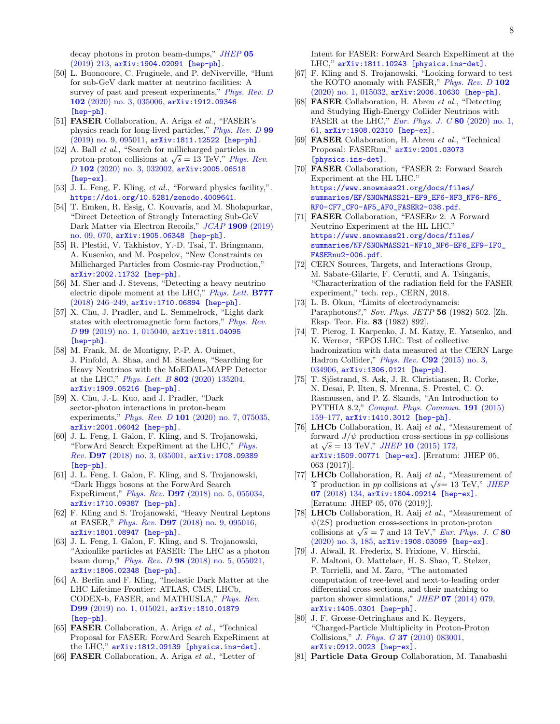decay photons in proton beam-dumps," [JHEP](http://dx.doi.org/10.1007/JHEP05(2019)213) 05 [\(2019\) 213,](http://dx.doi.org/10.1007/JHEP05(2019)213) [arXiv:1904.02091 \[hep-ph\]](http://arxiv.org/abs/1904.02091).

- [50] L. Buonocore, C. Frugiuele, and P. deNiverville, "Hunt for sub-GeV dark matter at neutrino facilities: A survey of past and present experiments," [Phys. Rev. D](http://dx.doi.org/10.1103/PhysRevD.102.035006) 102 [\(2020\) no. 3, 035006,](http://dx.doi.org/10.1103/PhysRevD.102.035006) [arXiv:1912.09346](http://arxiv.org/abs/1912.09346) [\[hep-ph\]](http://arxiv.org/abs/1912.09346).
- <span id="page-7-0"></span>[51] FASER Collaboration, A. Ariga et al., "FASER's physics reach for long-lived particles," [Phys. Rev. D](http://dx.doi.org/10.1103/PhysRevD.99.095011) 99 [\(2019\) no. 9, 095011,](http://dx.doi.org/10.1103/PhysRevD.99.095011) [arXiv:1811.12522 \[hep-ph\]](http://arxiv.org/abs/1811.12522).
- <span id="page-7-1"></span>[52] A. Ball *et al.*, "Search for millicharged particles in proton-proton collisions at  $\sqrt{s} = 13$  TeV," [Phys. Rev.](http://dx.doi.org/10.1103/PhysRevD.102.032002) D 102 [\(2020\) no. 3, 032002,](http://dx.doi.org/10.1103/PhysRevD.102.032002) [arXiv:2005.06518](http://arxiv.org/abs/2005.06518) [\[hep-ex\]](http://arxiv.org/abs/2005.06518).
- <span id="page-7-2"></span>[53] J. L. Feng, F. Kling, et al., "Forward physics facility,". <https://doi.org/10.5281/zenodo.4009641>.
- <span id="page-7-3"></span>[54] T. Emken, R. Essig, C. Kouvaris, and M. Sholapurkar, "Direct Detection of Strongly Interacting Sub-GeV Dark Matter via Electron Recoils," JCAP 1909 [\(2019\)](http://dx.doi.org/10.1088/1475-7516/2019/09/070) [no. 09, 070,](http://dx.doi.org/10.1088/1475-7516/2019/09/070) [arXiv:1905.06348 \[hep-ph\]](http://arxiv.org/abs/1905.06348).
- <span id="page-7-4"></span>[55] R. Plestid, V. Takhistov, Y.-D. Tsai, T. Bringmann, A. Kusenko, and M. Pospelov, "New Constraints on Millicharged Particles from Cosmic-ray Production," [arXiv:2002.11732 \[hep-ph\]](http://arxiv.org/abs/2002.11732).
- <span id="page-7-5"></span>[56] M. Sher and J. Stevens, "Detecting a heavy neutrino electric dipole moment at the LHC," [Phys. Lett.](http://dx.doi.org/10.1016/j.physletb.2017.12.022) B777 [\(2018\) 246–249,](http://dx.doi.org/10.1016/j.physletb.2017.12.022) [arXiv:1710.06894 \[hep-ph\]](http://arxiv.org/abs/1710.06894).
- [57] X. Chu, J. Pradler, and L. Semmelrock, "Light dark states with electromagnetic form factors," [Phys. Rev.](http://dx.doi.org/10.1103/PhysRevD.99.015040) D 99 [\(2019\) no. 1, 015040,](http://dx.doi.org/10.1103/PhysRevD.99.015040) [arXiv:1811.04095](http://arxiv.org/abs/1811.04095) [\[hep-ph\]](http://arxiv.org/abs/1811.04095).
- [58] M. Frank, M. de Montigny, P.-P. A. Ouimet, J. Pinfold, A. Shaa, and M. Staelens, "Searching for Heavy Neutrinos with the MoEDAL-MAPP Detector at the LHC," Phys. Lett. B 802 [\(2020\) 135204,](http://dx.doi.org/10.1016/j.physletb.2020.135204) [arXiv:1909.05216 \[hep-ph\]](http://arxiv.org/abs/1909.05216).
- <span id="page-7-6"></span>[59] X. Chu, J.-L. Kuo, and J. Pradler, "Dark sector-photon interactions in proton-beam experiments," Phys. Rev. D 101 [\(2020\) no. 7, 075035,](http://dx.doi.org/10.1103/PhysRevD.101.075035) [arXiv:2001.06042 \[hep-ph\]](http://arxiv.org/abs/2001.06042).
- <span id="page-7-7"></span>[60] J. L. Feng, I. Galon, F. Kling, and S. Trojanowski, "ForwArd Search ExpeRiment at the LHC," [Phys.](http://dx.doi.org/10.1103/PhysRevD.97.035001) Rev. D97 [\(2018\) no. 3, 035001,](http://dx.doi.org/10.1103/PhysRevD.97.035001) [arXiv:1708.09389](http://arxiv.org/abs/1708.09389) [\[hep-ph\]](http://arxiv.org/abs/1708.09389).
- [61] J. L. Feng, I. Galon, F. Kling, and S. Trojanowski, "Dark Higgs bosons at the ForwArd Search ExpeRiment," Phys. Rev. D97 [\(2018\) no. 5, 055034,](http://dx.doi.org/10.1103/PhysRevD.97.055034) [arXiv:1710.09387 \[hep-ph\]](http://arxiv.org/abs/1710.09387).
- [62] F. Kling and S. Trojanowski, "Heavy Neutral Leptons at FASER," Phys. Rev. D97 [\(2018\) no. 9, 095016,](http://dx.doi.org/10.1103/PhysRevD.97.095016) [arXiv:1801.08947 \[hep-ph\]](http://arxiv.org/abs/1801.08947).
- [63] J. L. Feng, I. Galon, F. Kling, and S. Trojanowski, "Axionlike particles at FASER: The LHC as a photon beam dump," Phys. Rev. D 98 [\(2018\) no. 5, 055021,](http://dx.doi.org/10.1103/PhysRevD.98.055021) [arXiv:1806.02348 \[hep-ph\]](http://arxiv.org/abs/1806.02348).
- [64] A. Berlin and F. Kling, "Inelastic Dark Matter at the LHC Lifetime Frontier: ATLAS, CMS, LHCb, CODEX-b, FASER, and MATHUSLA," [Phys. Rev.](http://dx.doi.org/10.1103/PhysRevD.99.015021) D99 [\(2019\) no. 1, 015021,](http://dx.doi.org/10.1103/PhysRevD.99.015021) [arXiv:1810.01879](http://arxiv.org/abs/1810.01879) [\[hep-ph\]](http://arxiv.org/abs/1810.01879).
- <span id="page-7-14"></span>[65] FASER Collaboration, A. Ariga et al., "Technical Proposal for FASER: ForwArd Search ExpeRiment at the LHC," [arXiv:1812.09139 \[physics.ins-det\]](http://arxiv.org/abs/1812.09139).
- [66] **FASER** Collaboration, A. Ariga *et al.*, "Letter of

Intent for FASER: ForwArd Search ExpeRiment at the LHC," [arXiv:1811.10243 \[physics.ins-det\]](http://arxiv.org/abs/1811.10243).

- <span id="page-7-8"></span>[67] F. Kling and S. Trojanowski, "Looking forward to test the KOTO anomaly with FASER," [Phys. Rev. D](http://dx.doi.org/10.1103/PhysRevD.102.015032) 102 [\(2020\) no. 1, 015032,](http://dx.doi.org/10.1103/PhysRevD.102.015032) [arXiv:2006.10630 \[hep-ph\]](http://arxiv.org/abs/2006.10630).
- <span id="page-7-9"></span>[68] **FASER** Collaboration, H. Abreu et al., "Detecting and Studying High-Energy Collider Neutrinos with FASER at the LHC," Eur. Phys. J.  $C$  80 (2020) no. 1, [61,](http://dx.doi.org/10.1140/epjc/s10052-020-7631-5) [arXiv:1908.02310 \[hep-ex\]](http://arxiv.org/abs/1908.02310).
- <span id="page-7-10"></span>[69] FASER Collaboration, H. Abreu et al., "Technical Proposal: FASERnu," [arXiv:2001.03073](http://arxiv.org/abs/2001.03073) [\[physics.ins-det\]](http://arxiv.org/abs/2001.03073).
- <span id="page-7-11"></span>[70] FASER Collaboration, "FASER 2: Forward Search Experiment at the HL LHC." [https://www.snowmass21.org/docs/files/](https://www.snowmass21.org/docs/files/summaries/EF/SNOWMASS21-EF9_EF6-NF3_NF6-RF6_RF0-CF7_CF0-AF5_AF0_FASER2-038.pdf) [summaries/EF/SNOWMASS21-EF9\\_EF6-NF3\\_NF6-RF6\\_](https://www.snowmass21.org/docs/files/summaries/EF/SNOWMASS21-EF9_EF6-NF3_NF6-RF6_RF0-CF7_CF0-AF5_AF0_FASER2-038.pdf) [RF0-CF7\\_CF0-AF5\\_AF0\\_FASER2-038.pdf](https://www.snowmass21.org/docs/files/summaries/EF/SNOWMASS21-EF9_EF6-NF3_NF6-RF6_RF0-CF7_CF0-AF5_AF0_FASER2-038.pdf).
- <span id="page-7-12"></span>[71] **FASER** Collaboration, "FASER<sub> $\nu$ </sub> 2: A Forward Neutrino Experiment at the HL LHC." [https://www.snowmass21.org/docs/files/](https://www.snowmass21.org/docs/files/summaries/NF/SNOWMASS21-NF10_NF6-EF6_EF9-IF0_FASERnu2-006.pdf) [summaries/NF/SNOWMASS21-NF10\\_NF6-EF6\\_EF9-IF0\\_](https://www.snowmass21.org/docs/files/summaries/NF/SNOWMASS21-NF10_NF6-EF6_EF9-IF0_FASERnu2-006.pdf) [FASERnu2-006.pdf](https://www.snowmass21.org/docs/files/summaries/NF/SNOWMASS21-NF10_NF6-EF6_EF9-IF0_FASERnu2-006.pdf).
- <span id="page-7-13"></span>[72] CERN Sources, Targets, and Interactions Group, M. Sabate-Gilarte, F. Cerutti, and A. Tsinganis, "Characterization of the radiation field for the FASER experiment," tech. rep., CERN, 2018.
- <span id="page-7-15"></span>[73] L. B. Okun, "Limits of electrodynamcis: Paraphotons?," Sov. Phys. JETP 56 (1982) 502. [Zh. Eksp. Teor. Fiz. 83 (1982) 892].
- <span id="page-7-16"></span>[74] T. Pierog, I. Karpenko, J. M. Katzy, E. Yatsenko, and K. Werner, "EPOS LHC: Test of collective hadronization with data measured at the CERN Large Hadron Collider," Phys. Rev. C92 [\(2015\) no. 3,](http://dx.doi.org/10.1103/PhysRevC.92.034906) [034906,](http://dx.doi.org/10.1103/PhysRevC.92.034906) [arXiv:1306.0121 \[hep-ph\]](http://arxiv.org/abs/1306.0121).
- <span id="page-7-17"></span>[75] T. Sjöstrand, S. Ask, J. R. Christiansen, R. Corke, N. Desai, P. Ilten, S. Mrenna, S. Prestel, C. O. Rasmussen, and P. Z. Skands, "An Introduction to PYTHIA 8.2," [Comput. Phys. Commun.](http://dx.doi.org/10.1016/j.cpc.2015.01.024) 191 (2015) [159–177,](http://dx.doi.org/10.1016/j.cpc.2015.01.024) [arXiv:1410.3012 \[hep-ph\]](http://arxiv.org/abs/1410.3012).
- <span id="page-7-18"></span>[76] LHCb Collaboration, R. Aaij et al., "Measurement of forward  $J/\psi$  production cross-sections in pp collisions at  $\sqrt{s} = 13$  TeV," *JHEP* 10 [\(2015\) 172,](http://dx.doi.org/10.1007/JHEP10(2015)172) [arXiv:1509.00771 \[hep-ex\]](http://arxiv.org/abs/1509.00771). [Erratum: JHEP 05, 063 (2017)].
- <span id="page-7-23"></span>[77] **LHCb** Collaboration, R. Aaij et al., "Measurement of  $\Upsilon$  production in pp collisions at  $\sqrt{s}$  = 13 TeV," [JHEP](http://dx.doi.org/10.1007/JHEP07(2018)134) 07 [\(2018\) 134,](http://dx.doi.org/10.1007/JHEP07(2018)134) [arXiv:1804.09214 \[hep-ex\]](http://arxiv.org/abs/1804.09214). [Erratum: JHEP 05, 076 (2019)].
- <span id="page-7-19"></span>[78] LHCb Collaboration, R. Aaij et al., "Measurement of  $\psi(2S)$  production cross-sections in proton-proton collisions at  $\sqrt{s} = 7$  and 13 TeV," [Eur. Phys. J. C](http://dx.doi.org/10.1140/epjc/s10052-020-7638-y) 80 [\(2020\) no. 3, 185,](http://dx.doi.org/10.1140/epjc/s10052-020-7638-y) [arXiv:1908.03099 \[hep-ex\]](http://arxiv.org/abs/1908.03099).
- <span id="page-7-20"></span>[79] J. Alwall, R. Frederix, S. Frixione, V. Hirschi, F. Maltoni, O. Mattelaer, H. S. Shao, T. Stelzer, P. Torrielli, and M. Zaro, "The automated computation of tree-level and next-to-leading order differential cross sections, and their matching to parton shower simulations," JHEP 07 [\(2014\) 079,](http://dx.doi.org/10.1007/JHEP07(2014)079) [arXiv:1405.0301 \[hep-ph\]](http://arxiv.org/abs/1405.0301).
- <span id="page-7-21"></span>[80] J. F. Grosse-Oetringhaus and K. Reygers, "Charged-Particle Multiplicity in Proton-Proton Collisions," J. Phys. G 37 [\(2010\) 083001,](http://dx.doi.org/10.1088/0954-3899/37/8/083001) [arXiv:0912.0023 \[hep-ex\]](http://arxiv.org/abs/0912.0023).
- <span id="page-7-22"></span>[81] Particle Data Group Collaboration, M. Tanabashi